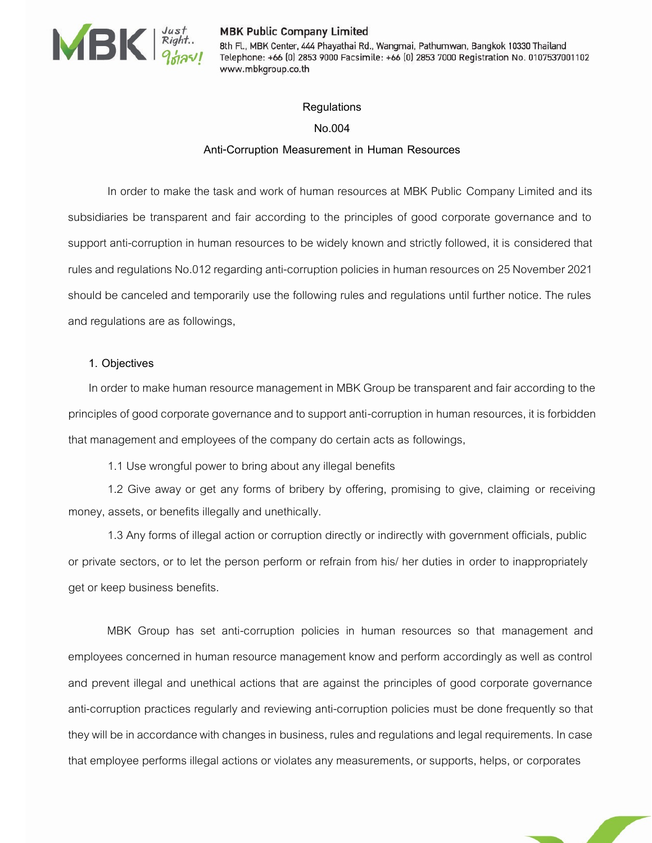

#### **MBK Public Company Limited**

WERE HAVEN MERINDRIP MERINDRIP STATE MERINDRIP STATE MERINDRIP STATE MERINDRIP STATE MERINDRIP STATE MERINDRIP STATE MERINDRIP STATE MERINDRIP STATE MERINDRIP STATE MERINDRIP STATE MERINDRIP STATE MERINDRIP STATE MERINDRIP Telephone: +66 [0] 2853 9000 Facsimile: +66 [0] 2853 7000 Registration No. 0107537001102 www.mbkgroup.co.th

#### **Regulations**

### **No.004**

### **Anti-Corruption Measurement in Human Resources**

In order to make the task and work of human resources at MBK Public Company Limited and its subsidiaries be transparent and fair according to the principles of good corporate governance and to support anti-corruption in human resources to be widely known and strictly followed, it is considered that rules and regulations No.012 regarding anti-corruption policies in human resources on 25 November 2021 should be canceled and temporarily use the following rules and regulations until further notice. The rules and regulations are as followings,

#### **1. Objectives**

In order to make human resource management in MBK Group be transparent and fair according to the principles of good corporate governance and to support anti-corruption in human resources, it is forbidden that management and employees of the company do certain acts as followings,

1.1 Use wrongful power to bring about any illegal benefits

1.2 Give away or get any forms of bribery by offering, promising to give, claiming or receiving money, assets, or benefits illegally and unethically.

1.3 Any forms of illegal action or corruption directly or indirectly with government officials, public or private sectors, or to let the person perform or refrain from his/ her duties in order to inappropriately get or keep business benefits.

MBK Group has set anti-corruption policies in human resources so that management and employees concerned in human resource management know and perform accordingly as well as control and prevent illegal and unethical actions that are against the principles of good corporate governance anti-corruption practices regularly and reviewing anti-corruption policies must be done frequently so that they will be in accordance with changes in business, rules and regulations and legal requirements. In case that employee performs illegal actions or violates any measurements, or supports, helps, or corporates

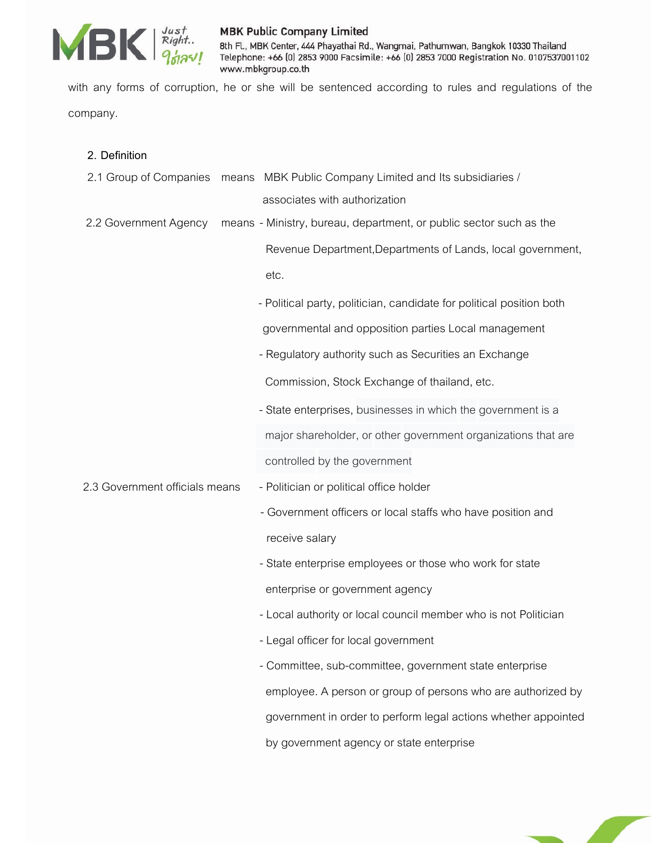

# **MBK Public Company Limited**

8th Fl., MBK Center, 444 Phayathai Rd., Wangmai, Pathumwan, Bangkok 10330 Thailand Telephone: +66 [0] 2853 9000 Facsimile: +66 [0] 2853 7000 Registration No. 0107537001102 www.mbkgroup.co.th

with any forms of corruption, he or she will be sentenced according to rules and regulations of the company.

| 2. Definition                  |                                                                      |
|--------------------------------|----------------------------------------------------------------------|
| 2.1 Group of Companies         | means MBK Public Company Limited and Its subsidiaries /              |
|                                | associates with authorization                                        |
| 2.2 Government Agency          | means - Ministry, bureau, department, or public sector such as the   |
|                                | Revenue Department, Departments of Lands, local government,          |
|                                | etc.                                                                 |
|                                | - Political party, politician, candidate for political position both |
|                                | governmental and opposition parties Local management                 |
|                                | - Regulatory authority such as Securities an Exchange                |
|                                | Commission, Stock Exchange of thailand, etc.                         |
|                                | - State enterprises, businesses in which the government is a         |
|                                | major shareholder, or other government organizations that are        |
|                                | controlled by the government                                         |
| 2.3 Government officials means | - Politician or political office holder                              |
|                                | - Government officers or local staffs who have position and          |
|                                | receive salary                                                       |
|                                | - State enterprise employees or those who work for state             |
|                                | enterprise or government agency                                      |
|                                | - Local authority or local council member who is not Politician      |
|                                | - Legal officer for local government                                 |
|                                | - Committee, sub-committee, government state enterprise              |
|                                | employee. A person or group of persons who are authorized by         |
|                                | government in order to perform legal actions whether appointed       |
|                                | by government agency or state enterprise                             |

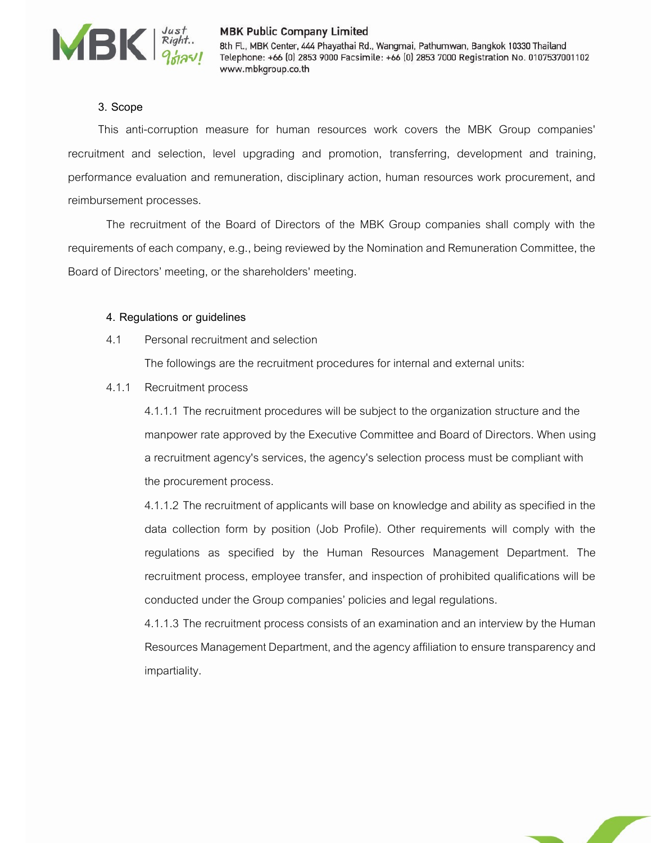

# **3. Scope**

This anti-corruption measure for human resources work covers the MBK Group companies' recruitment and selection, level upgrading and promotion, transferring, development and training, performance evaluation and remuneration, disciplinary action, human resources work procurement, and reimbursement processes.

The recruitment of the Board of Directors of the MBK Group companies shall comply with the requirements of each company, e.g., being reviewed by the Nomination and Remuneration Committee, the Board of Directors' meeting, or the shareholders' meeting.

#### **4. Regulations or guidelines**

4.1 Personal recruitment and selection

The followings are the recruitment procedures for internal and external units:

4.1.1 Recruitment process

4.1.1.1 The recruitment procedures will be subject to the organization structure and the manpower rate approved by the Executive Committee and Board of Directors. When using a recruitment agency's services, the agency's selection process must be compliant with the procurement process.

4.1.1.2 The recruitment of applicants will base on knowledge and ability as specified in the data collection form by position (Job Profile). Other requirements will comply with the regulations as specified by the Human Resources Management Department. The recruitment process, employee transfer, and inspection of prohibited qualifications will be conducted under the Group companies' policies and legal regulations.

4.1.1.3 The recruitment process consists of an examination and an interview by the Human Resources Management Department, and the agency affiliation to ensure transparency and impartiality.

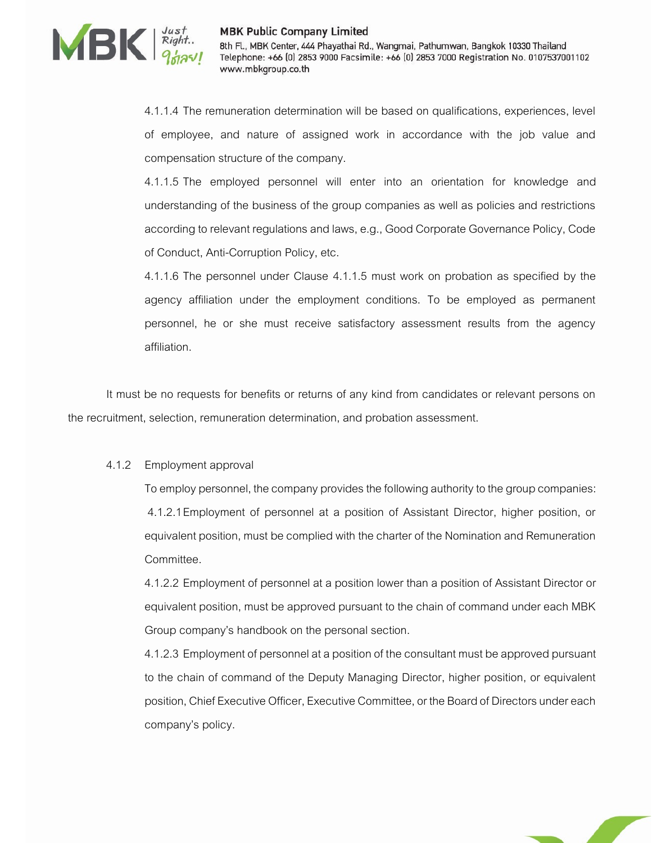

4.1.1.4 The remuneration determination will be based on qualifications, experiences, level of employee, and nature of assigned work in accordance with the job value and compensation structure of the company.

4.1.1.5 The employed personnel will enter into an orientation for knowledge and understanding of the business of the group companies as well as policies and restrictions according to relevant regulations and laws, e.g., Good Corporate Governance Policy, Code of Conduct, Anti-Corruption Policy, etc.

4.1.1.6 The personnel under Clause 4.1.1.5 must work on probation as specified by the agency affiliation under the employment conditions. To be employed as permanent personnel, he or she must receive satisfactory assessment results from the agency affiliation.

It must be no requests for benefits or returns of any kind from candidates or relevant persons on the recruitment, selection, remuneration determination, and probation assessment.

### 4.1.2 Employment approval

To employ personnel, the company provides the following authority to the group companies: 4.1.2.1Employment of personnel at a position of Assistant Director, higher position, or equivalent position, must be complied with the charter of the Nomination and Remuneration Committee.

4.1.2.2 Employment of personnel at a position lower than a position of Assistant Director or equivalent position, must be approved pursuant to the chain of command under each MBK Group company's handbook on the personal section.

4.1.2.3 Employment of personnel at a position of the consultant must be approved pursuant to the chain of command of the Deputy Managing Director, higher position, or equivalent position, Chief Executive Officer, Executive Committee, or the Board of Directors under each company's policy.

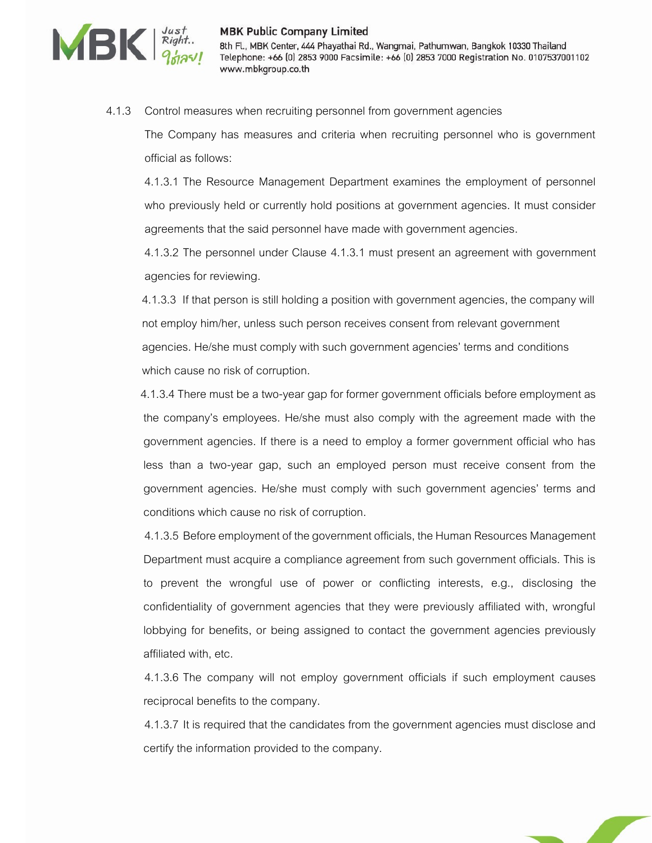

MBK Public Company Limited<br>Right. 8th Fl., MBK Center, 444 Phayathai Rd., Wangmai, Pathumwan, Bangkok 10330 Thailand<br>Ponce: +66 (0) 2853 9000 Facsimile: +66 (0) 2853 7000 Registration No. 0107537001102 www.mbkgroup.co.th

#### 4.1.3 Control measures when recruiting personnel from government agencies

The Company has measures and criteria when recruiting personnel who is government official as follows:

4.1.3.1 The Resource Management Department examines the employment of personnel who previously held or currently hold positions at government agencies. It must consider agreements that the said personnel have made with government agencies.

4.1.3.2 The personnel under Clause 4.1.3.1 must present an agreement with government agencies for reviewing.

 4.1.3.3 If that person is still holding a position with government agencies, the company will not employ him/her, unless such person receives consent from relevant government agencies. He/she must comply with such government agencies' terms and conditions which cause no risk of corruption.

 4.1.3.4There must be a two-year gap for former government officials before employment as the company's employees. He/she must also comply with the agreement made with the government agencies. If there is a need to employ a former government official who has less than a two-year gap, such an employed person must receive consent from the government agencies. He/she must comply with such government agencies' terms and conditions which cause no risk of corruption.

4.1.3.5 Before employment of the government officials, the Human Resources Management Department must acquire a compliance agreement from such government officials. This is to prevent the wrongful use of power or conflicting interests, e.g., disclosing the confidentiality of government agencies that they were previously affiliated with, wrongful lobbying for benefits, or being assigned to contact the government agencies previously affiliated with, etc.

4.1.3.6 The company will not employ government officials if such employment causes reciprocal benefits to the company.

4.1.3.7 It is required that the candidates from the government agencies must disclose and certify the information provided to the company.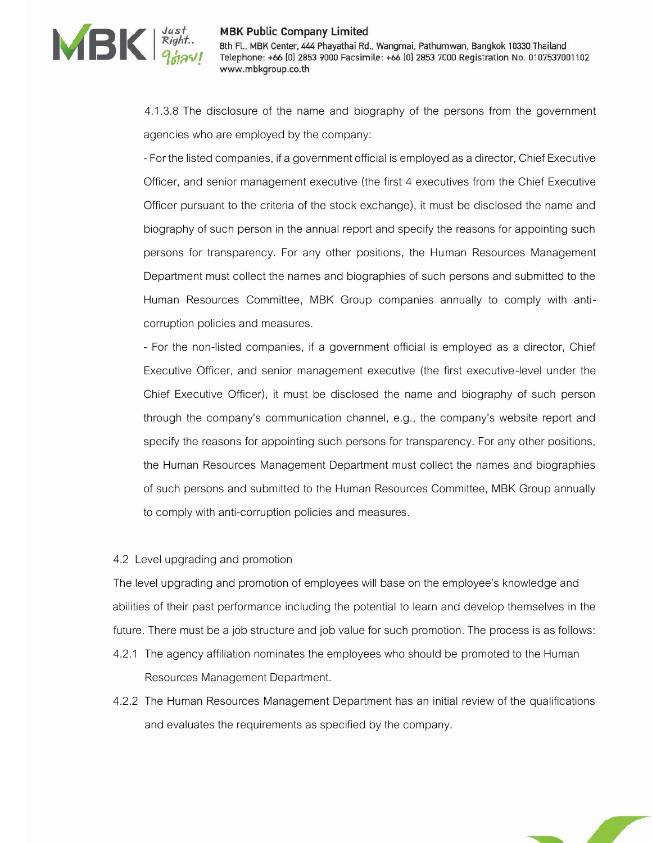

WERE HAVE HAVE Company Limited<br>BEREAD Right... 8th Fl., MBK Center, 444 Phayathai Rd., Wangmai, Pathumwan, Bangkok 10330 Thailand<br>Ponce: +66 (0) 2853 9000 Facsimile: +66 (0) 2853 7000 Registration No. 0107537001102 www.mbkgroup.co.th

> 4.1.3.8 The disclosure of the name and biography of the persons from the government agencies who are employed by the company:

> -For the listed companies, if a government official is employed as a director, Chief Executive Officer, and senior management executive (the first 4 executives from the Chief Executive Officer pursuant to the criteria of the stock exchange), it must be disclosed the name and biography of such person in the annual report and specify the reasons for appointing such persons for transparency. For any other positions, the Human Resources Management Department must collect the names and biographies of such persons and submitted to the Human Resources Committee, MBK Group companies annually to comply with anticorruption policies and measures.

> - For the non-listed companies, if a government official is employed as a director, Chief Executive Officer, and senior management executive (the first executive-level under the Chief Executive Officer), it must be disclosed the name and biography of such person through the company's communication channel, e.g., the company's website report and specify the reasons for appointing such persons for transparency. For any other positions, the Human Resources Management Department must collect the names and biographies of such persons and submitted to the Human Resources Committee, MBK Group annually to comply with anti-corruption policies and measures.

### 4.2 Level upgrading and promotion

The level upgrading and promotion of employees will base on the employee's knowledge and abilities of their past performance including the potential to learn and develop themselves in the future. There must be a job structure and job value for such promotion. The process is as follows:

- 4.2.1 The agency affiliation nominates the employees who should be promoted to the Human Resources Management Department.
- 4.2.2 The Human Resources Management Department has an initial review of the qualifications and evaluates the requirements as specified by the company.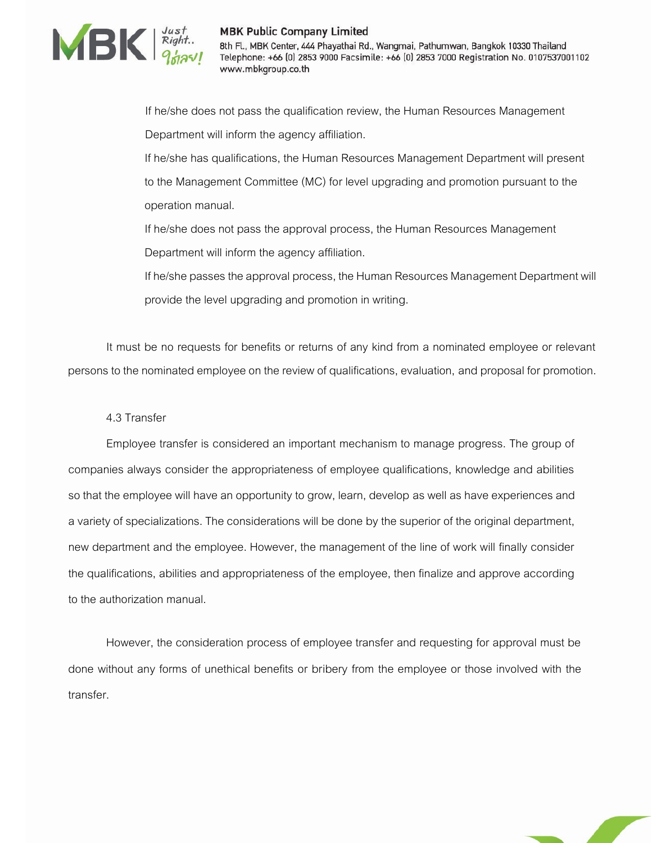

MBK Public Company Limited<br>
Right. 8th FL, MBK Center, 444 Phayathai Rd., Wangmai, Pathumwan, Bangkok 10330 Thailand<br>
Telephone: +66 (0) 2853 9000 Facsimile: +66 (0) 2853 7000 Registration No. 010753700 Telephone: +66 [0] 2853 9000 Facsimile: +66 [0] 2853 7000 Registration No. 0107537001102 www.mbkgroup.co.th

> If he/she does not pass the qualification review, the Human Resources Management Department will inform the agency affiliation.

If he/she has qualifications, the Human Resources Management Department will present to the Management Committee (MC) for level upgrading and promotion pursuant to the operation manual.

If he/she does not pass the approval process, the Human Resources Management Department will inform the agency affiliation.

If he/she passes the approval process, the Human Resources Management Department will provide the level upgrading and promotion in writing.

It must be no requests for benefits or returns of any kind from a nominated employee or relevant persons to the nominated employee on the review of qualifications, evaluation, and proposal for promotion.

4.3 Transfer

Employee transfer is considered an important mechanism to manage progress. The group of companies always consider the appropriateness of employee qualifications, knowledge and abilities so that the employee will have an opportunity to grow, learn, develop as well as have experiences and a variety of specializations. The considerations will be done by the superior of the original department, new department and the employee. However, the management of the line of work will finally consider the qualifications, abilities and appropriateness of the employee, then finalize and approve according to the authorization manual.

However, the consideration process of employee transfer and requesting for approval must be done without any forms of unethical benefits or bribery from the employee or those involved with the transfer.

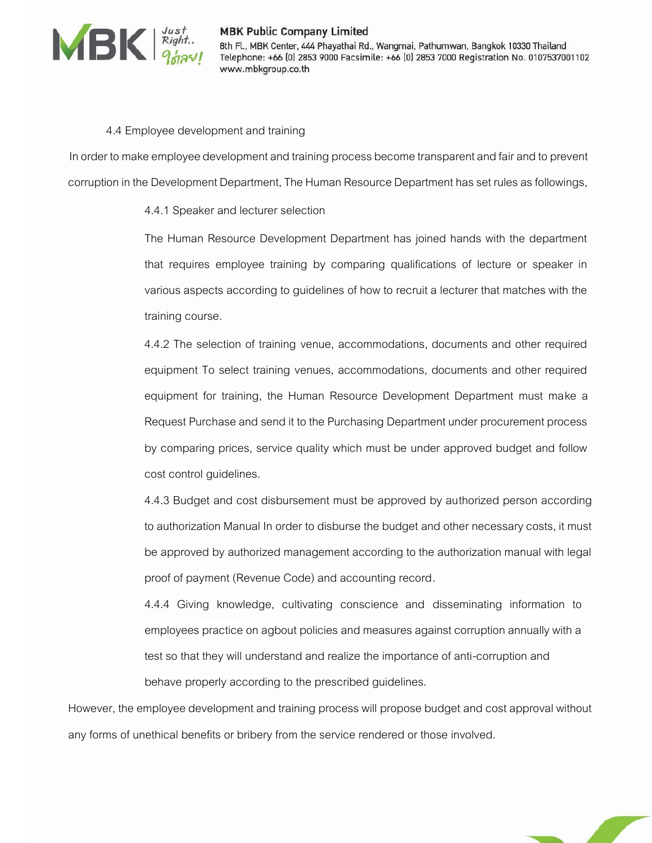

#### 4.4 Employee development and training

In order to make employee development and training process become transparent and fair and to prevent corruption in the Development Department, The Human Resource Department has set rules as followings,

4.4.1 Speaker and lecturer selection

The Human Resource Development Department has joined hands with the department that requires employee training by comparing qualifications of lecture or speaker in various aspects according to guidelines of how to recruit a lecturer that matches with the training course.

4.4.2 The selection of training venue, accommodations, documents and other required equipment To select training venues, accommodations, documents and other required equipment for training, the Human Resource Development Department must make a Request Purchase and send it to the Purchasing Department under procurement process by comparing prices, service quality which must be under approved budget and follow cost control guidelines.

4.4.3 Budget and cost disbursement must be approved by authorized person according to authorization Manual In order to disburse the budget and other necessary costs, it must be approved by authorized management according to the authorization manual with legal proof of payment (Revenue Code) and accounting record.

4.4.4 Giving knowledge, cultivating conscience and disseminating information to employees practice on agbout policies and measures against corruption annually with a test so that they will understand and realize the importance of anti-corruption and behave properly according to the prescribed guidelines.

However, the employee development and training process will propose budget and cost approval without any forms of unethical benefits or bribery from the service rendered or those involved.

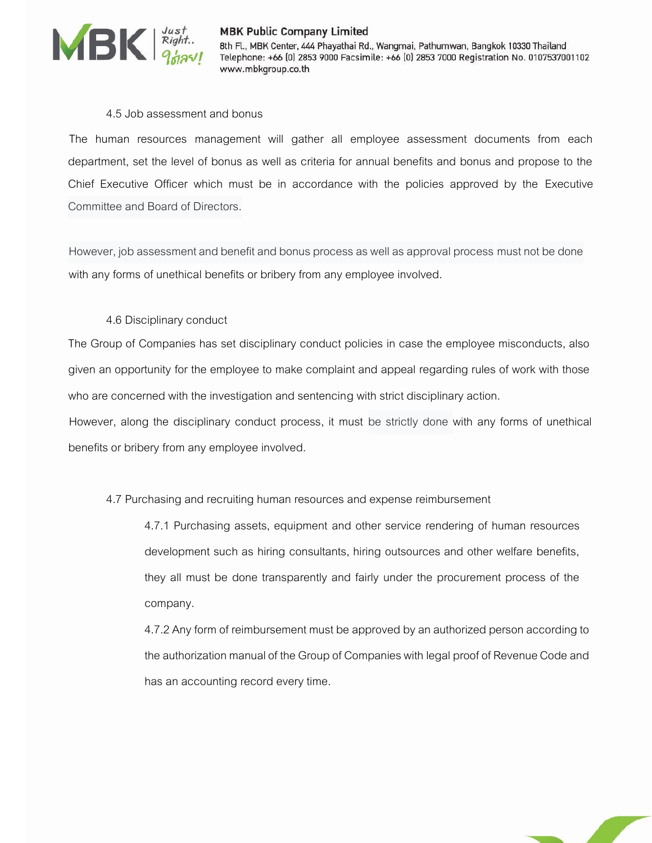

# WERE HAVE HAVE Company Limited<br>BEREAD Right... 8th Fl., MBK Center, 444 Phayathai Rd., Wangmai, Pathumwan, Bangkok 10330 Thailand<br>Ponce: +66 (0) 2853 9000 Facsimile: +66 (0) 2853 7000 Registration No. 0107537001102 www.mbkgroup.co.th

# 4.5 Job assessment and bonus

The human resources management will gather all employee assessment documents from each department, set the level of bonus as well as criteria for annual benefits and bonus and propose to the Chief Executive Officer which must be in accordance with the policies approved by the Executive Committee and Board of Directors.

However, job assessment and benefit and bonus process as well as approval process must not be done with any forms of unethical benefits or bribery from any employee involved.

# 4.6 Disciplinary conduct

The Group of Companies has set disciplinary conduct policies in case the employee misconducts, also given an opportunity for the employee to make complaint and appeal regarding rules of work with those who are concerned with the investigation and sentencing with strict disciplinary action.

However, along the disciplinary conduct process, it must be strictly done with any forms of unethical benefits or bribery from any employee involved.

4.7 Purchasing and recruiting human resources and expense reimbursement

4.7.1 Purchasing assets, equipment and other service rendering of human resources development such as hiring consultants, hiring outsources and other welfare benefits, they all must be done transparently and fairly under the procurement process of the company.

4.7.2 Any form of reimbursement must be approved by an authorized person according to the authorization manual of the Group of Companies with legal proof of Revenue Code and has an accounting record every time.